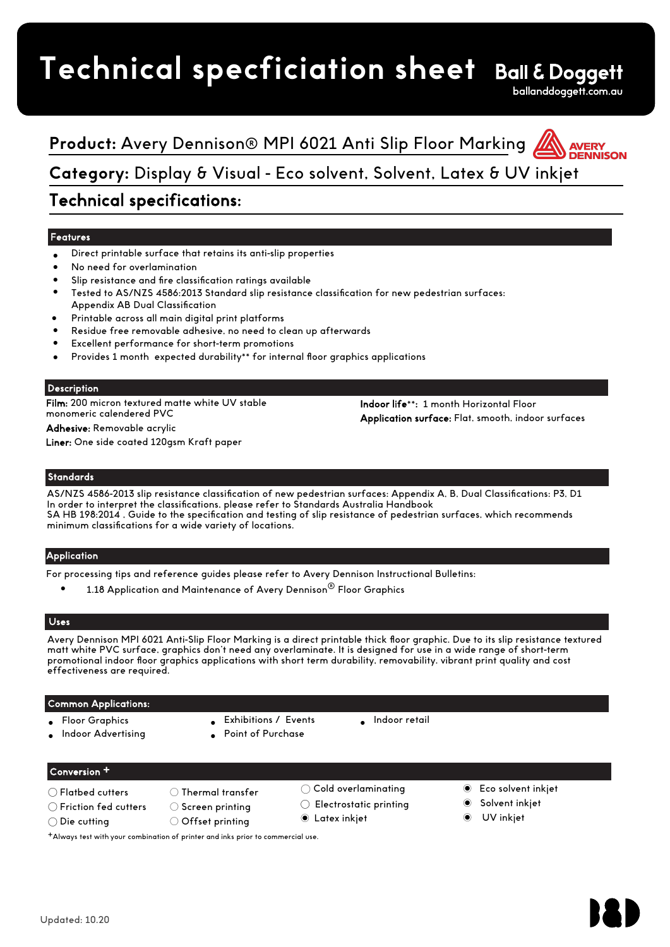# **Technical specficiation sheet**

ballanddoggett.com.au

## **Product:** Avery Dennison® MPI 6021 Anti Slip Floor Marking **Category:** Display & Visual - Eco solvent, Solvent, Latex & UV inkjet

## Technical specifications:

## Features

- Direct printable surface that retains its anti-slip properties
- No need for overlamination
- Slip resistance and fire classification ratings available
- Tested to AS/NZS 4586:2013 Standard slip resistance classification for new pedestrian surfaces: Appendix AB Dual Classification
- Printable across all main digital print platforms
- Residue free removable adhesive, no need to clean up afterwards
- Excellent performance for short-term promotions
- Provides 1 month expected durability\*\* for internal floor graphics applications

## Description

Film: 200 micron textured matte white UV stable monomeric calendered PVC

Indoor life\*\*: 1 month Horizontal Floor Application surface: Flat, smooth, indoor surfaces

Adhesive: Removable acrylic Liner: One side coated 120asm Kraft paper

## **Standards**

AS/NZS 4586-2013 slip resistance classification of new pedestrian surfaces: Appendix A, B, Dual Classifications: P3, D1 In order to interpret the classifications, please refer to Standards Australia Handbook SA HB 198:2014 , Guide to the specification and testing of slip resistance of pedestrian surfaces, which recommends minimum classifications for a wide variety of locations.

## Application

For processing tips and reference guides please refer to Avery Dennison Instructional Bulletins:

1.18 Application and Maintenance of Avery Dennison® Floor Graphics

## Uses

Avery Dennison MPI 6021 Anti-Slip Floor Marking is a direct printable thick floor graphic. Due to its slip resistance textured matt white PVC surface, graphics don't need any overlaminate. It is designed for use in a wide range of short-term promotional indoor floor graphics applications with short term durability, removability. vibrant print quality and cost effectiveness are required.

## Common Applications:

- **Floor Graphics**
- Indoor Advertising
- Exhibitions / Events
- Point of Purchase
- Indoor retail

## Conversion +

- ◯ Flatbed cutters ◯ Thermal transfer
- ◯ Friction fed cutters ◯ Screen printing
- ◯ Die cutting ◯ Offset printing
- 
- ◯ Cold overlaminating
- ◯ Electrostatic printing
- Latex inkjet ◉
- ◉ Eco solvent inkjet
- Solvent inkjet
- ◉ UV inkjet

+Always test with your combination of printer and inks prior to commercial use.